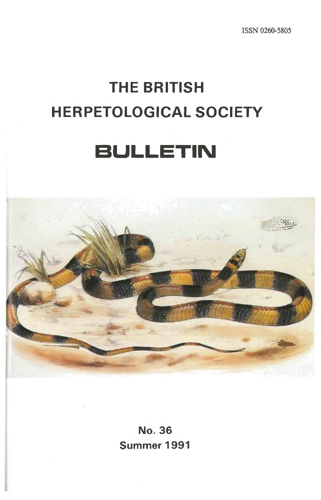ISSN 0260-5805

# **THE BRITISH HERPETOLOGICAL SOCIETY**

# **BULLETIN**



**No. 36** Summer 1991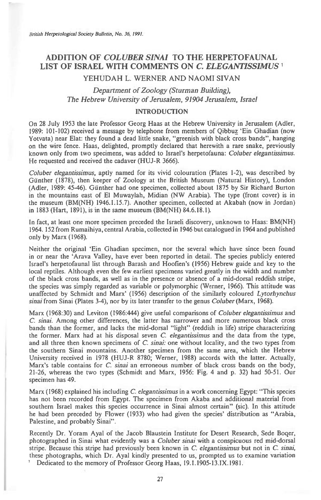# **ADDITION OF** *COLUBER SINAI* **TO THE HERPETOFAUNAL LIST OF ISRAEL WITH COMMENTS ON** *C. ELEGANTISSIMUS '*

# YEHUDAH L. WERNER AND NAOMI SIVAN

# *Department of Zoology (Sturman Building), The Hebrew University of Jerusalem, 91904 Jerusalem, Israel*

#### **INTRODUCTION**

On 28 July 1953 the late Professor Georg Haas at the Hebrew University in Jerusalem (Adler, 1989: 101-102) received a message by telephone from members of Qibbuz 'Ein Ghadian (now Yotvata) near Elat: they found a dead little snake, "greenish with black cross bands", hanging on the wire fence. Haas, delighted, promptly declared that herewith a rare snake, previously known only from two specimens, was added to Israel's herpetofauna: *Coluber elegantissimus.*  He requested and received the cadaver (HUJ-R 3666).

Coluber elegantissimus, aptly named for its vivid colouration (Plates 1-2), was described by Gunther (1878), then keeper of Zoology at the British Museum (Natural History), London (Adler, 1989: 45-46). Gunther had one specimen, collected about 1875 by Sir Richard Burton in the mountains east of El Muwaylah, Midian (NW Arabia). The type (front cover) is in the museum (BM(NH) 1946.1.15.7). Another specimen, collected at Akabah (now in Jordan) in 1883 (Hart, 1891), is in the same museum (BM(NH) 84.6.18.1).

In fact, at least one more specimen preceded the Israeli discovery, unknown to Haas: BM(NH) 1964. 152 from Rumaihiya, central Arabia, collected in 1946 but catalogued in 1964 and published only by Marx (1968).

Neither the original `Ein Ghadian specimen, nor the several which have since been found in or near the `Arava Valley, have ever been reported in detail. The species publicly entered Israel's herpetofaunal list through Barash and Hoofien's (1956) Hebrew guide and key to the local reptiles. Although even the few earliest specimens varied greatly in the width and number of the black cross bands, as well as in the presence or absence of a mid-dorsal reddish stripe, the species was simply regarded as variable or polymorphic (Werner, 1966). This attitude was unaffected by Schmidt and Marx' (1956) description of the similarly coloured *Lytorhynchus sinai* from Sinai (Plates 3-4), nor by its later transfer to the genus *Coluber* (Marx, 1968).

Marx (1968:30) and Leviton (1986:444) give useful comparisons of *Coluber elegantissimus* and *C. sinai.* Among other differences, the latter has narrower and more numerous black cross bands than the former, and lacks the mid-dorsal "light" (reddish in life) stripe characterizing the former. Marx had at his disposal seven *C. elegantissimus* and the data from the type, and all three then known specimens of *C. sinai:* one without locality, and the two types from the southern Sinai mountains. Another specimen from the same area, which the Hebrew University received in 1978 (HUJ-R 8780; Werner, 1988) accords with the latter. Actually, Marx's table contains for *C. sinai* an erroneous number of black cross bands on the body, 21-26, whereas the two types (Schmidt and Marx, 1956: Fig. 4 and p. 32) had 50-51. Our specimen has 49.

Marx (1968) explained his including C. *elegantissimus in* a work concerning Egypt: "This species has not been recorded from Egypt. The specimen from Akaba and additional material from southern Israel makes this species occurrence in Sinai almost certain" (sic). In this attitude he had been preceded by Flower (1933) who had given the species' distribution as "Arabia, Palestine, and probably Sinai".

Recently Dr. Yoram Ayal of the Jacob Blaustein Institute for Desert Research, Sede Boger, photographed in Sinai what evidently was a *Coluber sinai with* a conspicuous red mid-dorsal stripe. Because this stripe had previously been known in C. *elegantissimus* but not in *C. sinai,*  these photographs, which Dr. Ayal kindly presented to us, prompted us to examine variation Dedicated to the memory of Professor Georg Haas, 19.1.1905-13.IX.1981.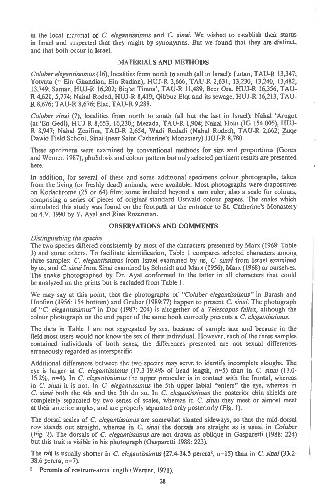in the local material of *C. elegantissimus* and C. *sinai.* We wished to establish their status in Israel and suspected that they might by synonymus. But we found that they are distinct, and that both occur in Israel.

#### **MATERIALS AND METHODS**

*Coluber elegantissimus* (16), localities from north to south (all in Israel): Lotan, TAU-R 13,347; Yotvata (= Ein Ghandian, Ein Radian), HUJ-R 3,666, TAU-R 2,631, 13,230, 13,240, 13,482, 13,749; Samar, HUJ-R 16,202; Biq'at Timna', TAU-R 11,489, Beer Ora, HUJ-R 16,356, TAU-R 4,621, 5,774; Nahal Roded, HUJ-R 8,419; Qibbuz Elot and its sewage, HUJ-R 16,213, TAU-R 8,676; TAU-R 8,676; Elat, TAU-R 9,288.

*Coluber sinai (7),* localities from north to south (all but the last in Israel): Naha! `Arugot (at 'En Gedi), HUJ-R 8,653, 16,230,; Mezada, TAU-R 1,904; Nahal Holit (IG 154 005), HUJ-R 8,947; Nahal Zenifim, TAU-R 2,654; Wadi Redadi (Nahal Roded), TAU-R 2,662; Zuqe Dawid Field School, Sinai (near Saint Catherine's Monastery) HUJ-R 8,780.

These specimens were examined by conventional methods for size and proportions (Goren and Werner, 1987), pholidosis and colour pattern but only selected pertinent results are presented here.

In addition, for several of these and some additional specimens colour photographs, taken from the living (or freshly dead) animals, were available. Most photographs were diapositives on Kodachrome (25 or 64) film; some included beyond a mm ruler, also a scale for colours, comprising a series of pieces of original standard Ostwald colour papers. The snake which stimulated this study was found on the footpath at the entrance to St. Catherine's Monastery on 4.V. 1990 by Y. Ayal and Rina Rosenman.

#### **OBSERVATIONS AND COMMENTS**

#### *Distinguishing the species*

The two species differed consistently by most of the characters presented by Marx (1968: Table 3) and some others. To facilitate identification, Table 1 compares selected characters among three samples: *C. elegantissimus* from Israel examined by us, *C. sinai* from Israel examined by us, and *C. sinai* from Sinai examined by Schmidt and Marx (1956), Marx (1968) or ourselves. The snake photographed by Dr. Ayal conformed to the latter in all characters that could be analyzed on the prints but is excluded from Table 1.

We may say at this point, that the photographs of *"Coluber elegantissimus"* in Barash and Hoofien (1956: 154 bottom) and Gruber (1989:77) happen to present *C. sinai.* The photograph of *"C elegantissimus"* in Dor (1987: 204) is altogether of a *Telescopus fallax,* although the colour photograph on the end paper of the same book correctly presents a C *elegantissimus.* 

The data in Table 1 are not segregated by sex, because of sample size and because in the field most users would not know the sex of their individual. However, each of the three samples contained individuals of both sexes; the differences presented are not sexual differences erroneously regarded as interspecific.

Additional differences between the two species may serve to identify incomplete sloughs. The eye is larger in *C. elegahtissimus* (17.3-19.4% of head length, n=5) than in *C. sinai* (13.0- 15.2%, n-4). In *C. elegantissimus* the upper preocular is in contact with the frontal, whereas in C *sinai it is* not. In C. *elegantissimus* the 5th upper labial "enters" the eye, whereas in *C. sinai* both the 4th and the 5th do so. In *C. elegantissimus* the posterior chin shields are completely separated by two series of scales, whereas in *C. sinai* they meet or almost meet at their anterior angles, and are properly separated only posteriorly (Fig. 1).

The dorsal scales of *C. elegantissimus* are somewhat slanted sideways, so that the mid-dorsal row stands out straight, whereas in *C. sinai* the dorsals are straight as is usual *in Coluber*  (Fig. 2). The dorsals of *C. elegantissimus* are not drawn as oblique in Gasparetti (1988: 224) but this trait is visible in his photograph (Gasparetti 1988: 223).

The tail is usually shorter in *C. elegantissimus* (27.4-34.5 percra2, n=15) than in C. *sinai* (33.2- 38.6 percra, n=7).

Percents of rostrum-anus length (Werner, 1971).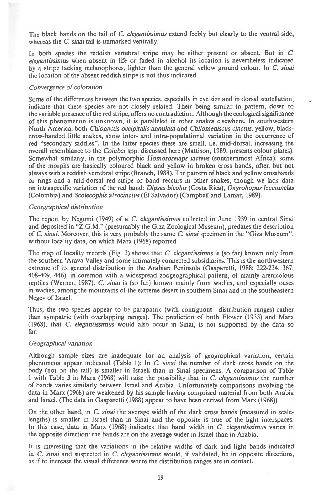The black bands on the tail of *C. elegantissimus* extend feebly but clearly to the ventral side, whereas the *C. sinai tail is* unmarked ventrally.

In both species the reddish vertebral stripe may be either present or absent. But in C. *elegantissimus* when absent in life or faded in alcohol its location is nevertheless indicated by a stripe lacking melanophores, lighter than the general yellow ground colour. In C. *sinai*  the location of the absent reddish stripe is not thus indicated.

#### *Convergence of coloration*

Some of the differences between the two species, especially in eye size and in dorsal scutellation, indicate that these species are not closely related. Their being similar in pattern, down to the variable presence of the red stripe, offers no contradiction. Although the ecological significance of this phenomenon is unknown, it is paralleled in other snakes elsewhere. In southwestern North America, both *Chionactis occipitalis annulata* and *Chilomeniscus cinctus,* yellow, blackcross-banded little snakes, show inter- and intra-populational variation in the occurrence of red "secondary saddles". In the latter species these are small, i.e. mid-dorsal, increasing the overall resemblance to the *Coluber* spp. discussed here (Mattison, 1989, presents colour plates). Somewhat similarly, in the polymorphic *Homoroselaps lacteus* (southernmost Africa), some of the morphs are basically coloured black and yellow in broken cross bands, often but not always with a reddish vertebral stripe (Branch, 1988). The pattern of black and yellow crossbands or rings and a mid-dorsal red stripe or band reccurs in other snakes, though we lack data on intraspecific variation of the red band: *Dipsas bicolor* (Costa Rica), *Oxyrohopus leucomelas*  (Colombia) and *Scolecophis atrocinctus* (El Salvador) (Campbell and Lamar, 1989).

#### *Georgraphical distribution*

The report by Negumi (1949) of a *C. elegantissimus* collected in June 1939 in central Sinai and deposited in "Z.G.M." (presumably the Giza Zoological Museum), predates the description of *C. sinai.* Moreover, this is very probably the same *C. sinai* specimen in the "Giza Museum", without locality data, on which Marx (1968) reported.

The map of locality records (Fig. 3) shows that *C. elegantissimus is* (so far) known only from the southern `Arava Valley and some intimately connected subsidiaries. This is the northwestern extreme of its general distribution in the Arabian Peninsula (Gasparetti, 1988: 222-234, 367, 408-409, 446), in common with a widespread zoogeographical pattern, of mainly arenicolous reptiles (Werner, 1987). *C. sinai is (so* far) known mainly from wadies, and especially oases in wadies, among the mountains of the extreme desert in southern Sinai and in the southeastern Negev of Israel.

Thus, the two species appear to be parapatric (with contiguous distribution ranges) rather than sympatric (with overlapping ranges). The prediction of both Flower (1933) and Marx (1968), that *C. elegantissimus* would also occur in Sinai, is not supported by the data so far.

#### *Geographical variation*

Although sample sizes are inadequate for an analysis of geographical variation, certain phenomena appear indicated (Table 1): In *C. sinai* the number of dark cross bands on the body (not on the tail) is smaller in Israeli than in Sinai specimens. A comparison of Table 1 with Table 3 in Marx (1968) will raise the possibility that in C. *elegantissimus* the number of bands varies similarly between Israel and Arabia. Unfortunately comparisons involving the data in Marx (1968) are weakened by his sample having comprised material from both Arabia and Israel. (The data in Gasparetti (1988) appear to have been derived from Marx (1968)).

On the other hand, in *C. sinai* the average width of the dark cross bands (measured in scalelengths) is smaller in Israel than in Sinai and the opposite is true of the light interspaces. In this case, data in Marx (1968) indicates that band width in C. *elegantissimus* varies in the opposite direction: the bands are on the average wider in Israel than in Arabia.

It is interesting that the variations in the relative widths of dark and light bands indicated in *C. sinai* and suspected in *C. elegantissimus* would, if validated, be in opposite directions, as if to increase the visual difference where the distribution ranges are in contact.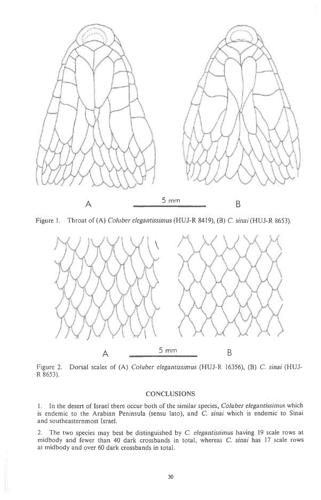

Figure 1. Throat of (A) *Coluber elegantissimus* (HUJ-R 8419), (B) C. *sinai* (HUJ-R 8653).



Figure 2. Dorsal scales of (A) *Coluber elegantissimus* (HUJ-R 16356), (B) *C. sinai* (HUJ-R 8653).

### **CONCLUSIONS**

1. In the desert of Israel there occur both of the similar species, *Coluber elegantissimus* which is endemic to the Arabian Peninsula (sensu lato), and *C. sinai* which is endemic to Sinai and southeasternmost Israel.

2. The two species may best be distinguished by C. *elegantissimus* having 19 scale rows at midbody and fewer than 40 dark crossbands in total, whereas C. *sinai* has 17 scale rows at midbody and over 60 dark crossbands in total.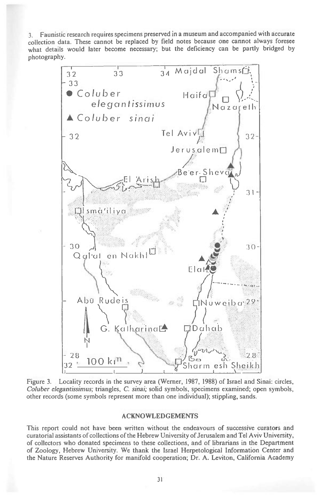Faunistic research requires specimens preserved in a museum and accompanied with accurate  $3.$ collection data. These cannot be replaced by field notes because one cannot always foresee what details would later become necessary; but the deficiency can be partly bridged by photography.



Figure 3. Locality records in the survey area (Werner, 1987, 1988) of Israel and Sinai: circles, Coluber elegantissimus; triangles, C. sinai; solid symbols, specimens examined; open symbols, other records (some symbols represent more than one individual); stippling, sands.

#### **ACKNOWLEDGEMENTS**

This report could not have been written without the endeavours of successive curators and curatorial assistants of collections of the Hebrew University of Jerusalem and Tel Aviv University, of collectors who donated specimens to these collections, and of librarians in the Department of Zoology, Hebrew University. We thank the Israel Herpetological Information Center and the Nature Reserves Authority for manifold cooperation; Dr. A. Leviton, California Academy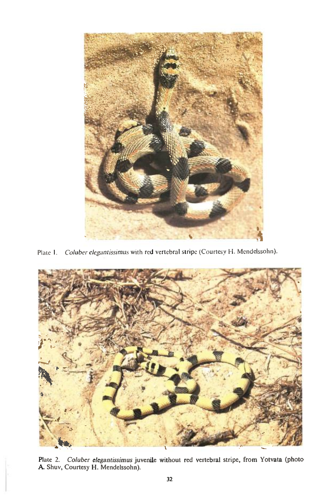

Plate 1. Coluber elegantissimus with red vertebral stripe (Courtesy H. Mendelssohn).



Plate 2. Coluber elegantissimus juvenile without red vertebral stripe, from Yotvata (photo A. Shuv, Courtesy H. Mendelssohn).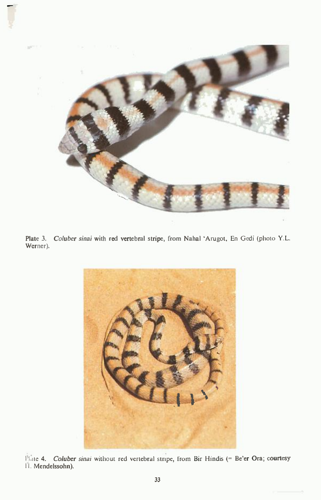

**Plate 3.** Coluber sinai **with red vertebral stripe, from Nahal 'Arugot,** En Gedi (photo Y.L. **Werner).** 



**Plate 4.** Coluber sinai without red vertebral stripe, from Bir Hindis (= **Be'er Ora; courtesy I. Mendelssohn).**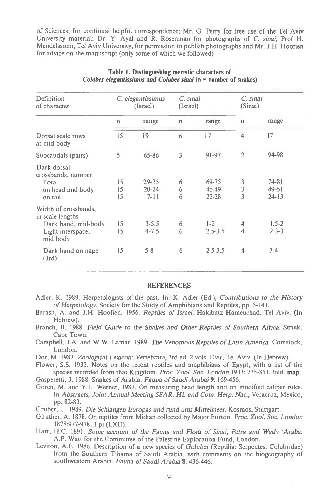of Sciences, for continual helpful correspondence; Mr. G. Perry for free use of the Tel Aviv University material; Dr. Y. Ayal and R. Rosenman for photographs of C. *sinai;* Prof H. Mendelssohn, Tel Aviv University, for permission to publish photographs and Mr. J.H. Hoofien for advice on the manuscript (only some of which we followed).

| Definition<br>of character                                                                       | C. elegantissimus<br>(Israel) |                                | C. sinai<br>(Israel) |                             | C. sinai<br>(Sinai) |                                     |
|--------------------------------------------------------------------------------------------------|-------------------------------|--------------------------------|----------------------|-----------------------------|---------------------|-------------------------------------|
|                                                                                                  | $\Gamma$                      | range                          | n                    | range                       | $\mathbf{n}$        | range                               |
| Dorsal scale rows<br>at mid-body                                                                 | 15                            | 19                             | 6                    | 17                          | 4                   | 17                                  |
| Subcaudals (pairs)                                                                               | 5                             | 65-86                          | 3                    | 91-97                       | $\overline{2}$      | 94-98                               |
| Dark dorsal<br>crossbands, number<br>Total<br>on head and body<br>on tail                        | 15<br>15<br>15                | 29-35<br>$20 - 24$<br>$7 - 11$ | 6<br>6<br>6          | 69-75<br>45.49<br>$22 - 28$ | $\frac{3}{3}$       | $74 - 81$<br>$49 - 51$<br>$24 - 13$ |
| Width of crossbands,<br>in scale lengths<br>Dark band, mid-body<br>Light interspace,<br>mid body | 15<br>15                      | $3 - 5.5$<br>$4 - 7.5$         | 6<br>6               | $1 - 2$<br>$2.5 - 3.5$      | 4<br>$\overline{4}$ | $1.5 - 2$<br>$2.3 - 3$              |
| Dark band on nape<br>(3rd)                                                                       | 15                            | $5 - 8$                        | 6                    | $2.5 - 3.5$                 | $\overline{4}$      | $3 - 4$                             |

#### **Table 1. Distinguishing meristic characters of**  *Coluber elegantissimus and Coluber sinai* **(n = number of snakes)**

#### REFERENCES

- Adler, K. 1989. Herpetologists of the past. In: K. Adler (Ed.), *Contributions to the History of Herpetology,* Society for the Study of Amphibians and Reptiles, pp. 5-141.
- Barash, A. and J.H. Hoofien. 1956. *Reptiles of Israel.* Hakibutz Hameuchad, Tel Aviv. (In Hebrew).
- Branch, B. 1988. *Field Guide to the Snakes and Other Reptiles of Southern Africa.* Struik, Cape Town.
- Campbell, J.A. and W.W. Lamar. 1989. *The Venomous Reptiles of Latin America.* Comstock, London.
- Dor, M. 1987. *Zoological Lexicon: Vertebrata,* 3rd ed. 2 vols. Dvir, Tel Aviv. (In Hebrew).
- Flower, S.S. 1933. Notes on the recent reptiles and amphibians of Egypt, with a list of the species recorded from that Kingdom. *Proc. Zool. Soc. London* 1933: 735-851. fold. map.
- Gasperetti, J. 1988. Snakes of Arabia. *Fauna of Saudi Arabai* **9:** 169-456.
- Goren, M. and Y.L. Werner, 1987. On measuring head length and on modified caliper rules. In *Abstracts, Joint Annual Meeting SSAR, HL and Corn. Herp. Nac.,* Veracruz, Mexico, pp. 82-83.
- Gruber, U. 1989. *Die Schlangen Europas and rand urns Mittelmeer.* Kosmos, Stuttgart.
- Gunther, A. 1878. On reptiles from Midian collected by Major Burton. *Proc. Zool. Soc. London*  1878:977-978, 1 pl (LXII).
- Hart, H.C. 1891. *Some account of the Fauna and Flora of Sinai, Petra and Wady 'Araba.*  A.P. Watt for the Committee of the Palestine Exploration Fund, London.
- Leviton, A.E. 1986. Description of a new species of *Goluber* (Reptilia: Serpentes: Colubridae) from the Southern Tihama of Saudi Arabia, with comments on the biogeography of southwestern Arabia. *Fauna of Saudi Arabia* **8:** 436-446.